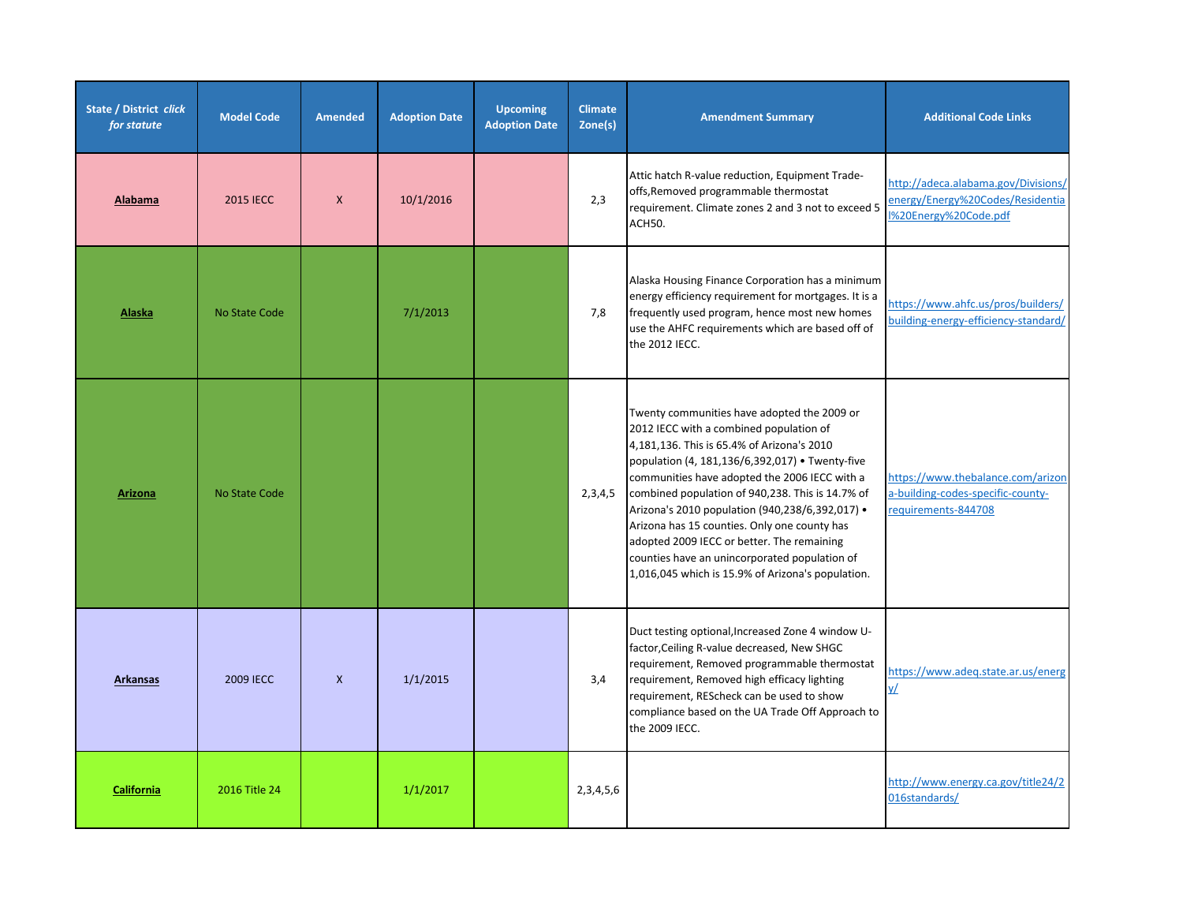| State / District click<br>for statute | <b>Model Code</b> | <b>Amended</b> | <b>Adoption Date</b> | <b>Upcoming</b><br><b>Adoption Date</b> | <b>Climate</b><br>Zone(s) | <b>Amendment Summary</b>                                                                                                                                                                                                                                                                                                                                                                                                                                                                                                                            | <b>Additional Code Links</b>                                                                    |
|---------------------------------------|-------------------|----------------|----------------------|-----------------------------------------|---------------------------|-----------------------------------------------------------------------------------------------------------------------------------------------------------------------------------------------------------------------------------------------------------------------------------------------------------------------------------------------------------------------------------------------------------------------------------------------------------------------------------------------------------------------------------------------------|-------------------------------------------------------------------------------------------------|
| Alabama                               | <b>2015 IECC</b>  | $\mathsf{X}$   | 10/1/2016            |                                         | 2,3                       | Attic hatch R-value reduction, Equipment Trade-<br>offs, Removed programmable thermostat<br>requirement. Climate zones 2 and 3 not to exceed 5<br>ACH50.                                                                                                                                                                                                                                                                                                                                                                                            | http://adeca.alabama.gov/Divisions/<br>energy/Energy%20Codes/Residentia<br>%20Energy%20Code.pdf |
| Alaska                                | No State Code     |                | 7/1/2013             |                                         | 7,8                       | Alaska Housing Finance Corporation has a minimum<br>energy efficiency requirement for mortgages. It is a<br>frequently used program, hence most new homes<br>use the AHFC requirements which are based off of<br>the 2012 IECC.                                                                                                                                                                                                                                                                                                                     | https://www.ahfc.us/pros/builders/<br>building-energy-efficiency-standard/                      |
| <b>Arizona</b>                        | No State Code     |                |                      |                                         | 2,3,4,5                   | Twenty communities have adopted the 2009 or<br>2012 IECC with a combined population of<br>4,181,136. This is 65.4% of Arizona's 2010<br>population (4, 181,136/6,392,017) • Twenty-five<br>communities have adopted the 2006 IECC with a<br>combined population of 940,238. This is 14.7% of<br>Arizona's 2010 population (940,238/6,392,017) .<br>Arizona has 15 counties. Only one county has<br>adopted 2009 IECC or better. The remaining<br>counties have an unincorporated population of<br>1,016,045 which is 15.9% of Arizona's population. | https://www.thebalance.com/arizon<br>a-building-codes-specific-county-<br>requirements-844708   |
| <b>Arkansas</b>                       | <b>2009 IECC</b>  | $\mathsf{x}$   | 1/1/2015             |                                         | 3,4                       | Duct testing optional, Increased Zone 4 window U-<br>factor, Ceiling R-value decreased, New SHGC<br>requirement, Removed programmable thermostat<br>requirement, Removed high efficacy lighting<br>requirement, REScheck can be used to show<br>compliance based on the UA Trade Off Approach to<br>the 2009 IECC.                                                                                                                                                                                                                                  | https://www.adeq.state.ar.us/energ<br><u>v/</u>                                                 |
| California                            | 2016 Title 24     |                | 1/1/2017             |                                         | 2, 3, 4, 5, 6             |                                                                                                                                                                                                                                                                                                                                                                                                                                                                                                                                                     | http://www.energy.ca.gov/title24/2<br>016standards/                                             |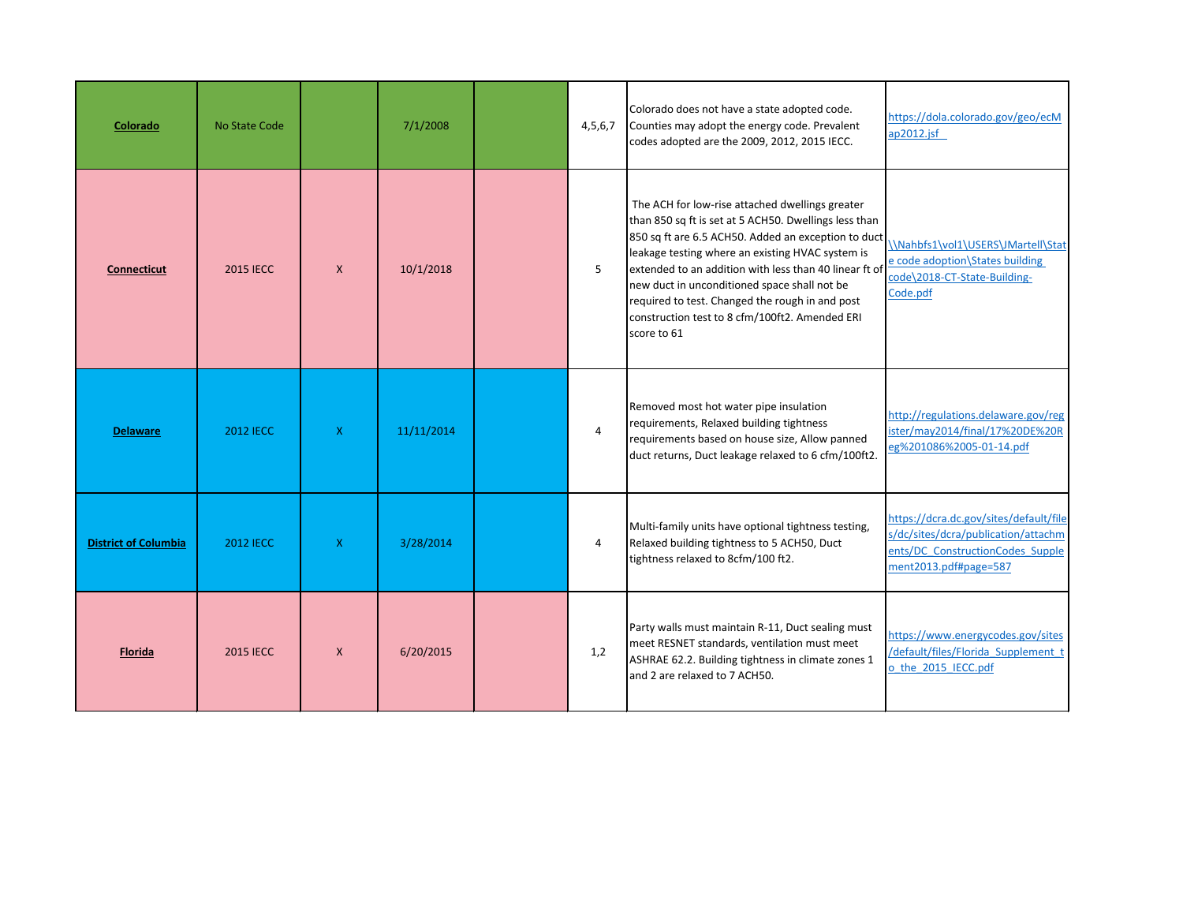| Colorado                    | No State Code    |              | 7/1/2008   | 4,5,6,7        | Colorado does not have a state adopted code.<br>Counties may adopt the energy code. Prevalent<br>codes adopted are the 2009, 2012, 2015 IECC.                                                                                                                                                                                                                                                                                                     | https://dola.colorado.gov/geo/ecM<br>ap2012.jsf                                                                                            |
|-----------------------------|------------------|--------------|------------|----------------|---------------------------------------------------------------------------------------------------------------------------------------------------------------------------------------------------------------------------------------------------------------------------------------------------------------------------------------------------------------------------------------------------------------------------------------------------|--------------------------------------------------------------------------------------------------------------------------------------------|
| <b>Connecticut</b>          | <b>2015 IECC</b> | $\mathsf{X}$ | 10/1/2018  | 5              | The ACH for low-rise attached dwellings greater<br>than 850 sq ft is set at 5 ACH50. Dwellings less than<br>850 sq ft are 6.5 ACH50. Added an exception to duct<br>leakage testing where an existing HVAC system is<br>extended to an addition with less than 40 linear ft of<br>new duct in unconditioned space shall not be<br>required to test. Changed the rough in and post<br>construction test to 8 cfm/100ft2. Amended ERI<br>score to 61 | \\Nahbfs1\vol1\USERS\JMartell\Stat<br>e code adoption\States building<br>code\2018-CT-State-Building-<br>Code.pdf                          |
| <b>Delaware</b>             | 2012 IECC        | $\mathsf{X}$ | 11/11/2014 | $\overline{4}$ | Removed most hot water pipe insulation<br>requirements, Relaxed building tightness<br>requirements based on house size, Allow panned<br>duct returns, Duct leakage relaxed to 6 cfm/100ft2.                                                                                                                                                                                                                                                       | http://regulations.delaware.gov/reg<br>ister/may2014/final/17%20DE%20R<br>eg%201086%2005-01-14.pdf                                         |
| <b>District of Columbia</b> | <b>2012 IECC</b> | $\mathsf{X}$ | 3/28/2014  | 4              | Multi-family units have optional tightness testing,<br>Relaxed building tightness to 5 ACH50, Duct<br>tightness relaxed to 8cfm/100 ft2.                                                                                                                                                                                                                                                                                                          | https://dcra.dc.gov/sites/default/file<br>s/dc/sites/dcra/publication/attachm<br>ents/DC ConstructionCodes Supple<br>ment2013.pdf#page=587 |
| <b>Florida</b>              | <b>2015 IECC</b> | $\mathsf{X}$ | 6/20/2015  | 1,2            | Party walls must maintain R-11, Duct sealing must<br>meet RESNET standards, ventilation must meet<br>ASHRAE 62.2. Building tightness in climate zones 1<br>and 2 are relaxed to 7 ACH50.                                                                                                                                                                                                                                                          | https://www.energycodes.gov/sites<br>/default/files/Florida Supplement t<br>o the 2015 IECC.pdf                                            |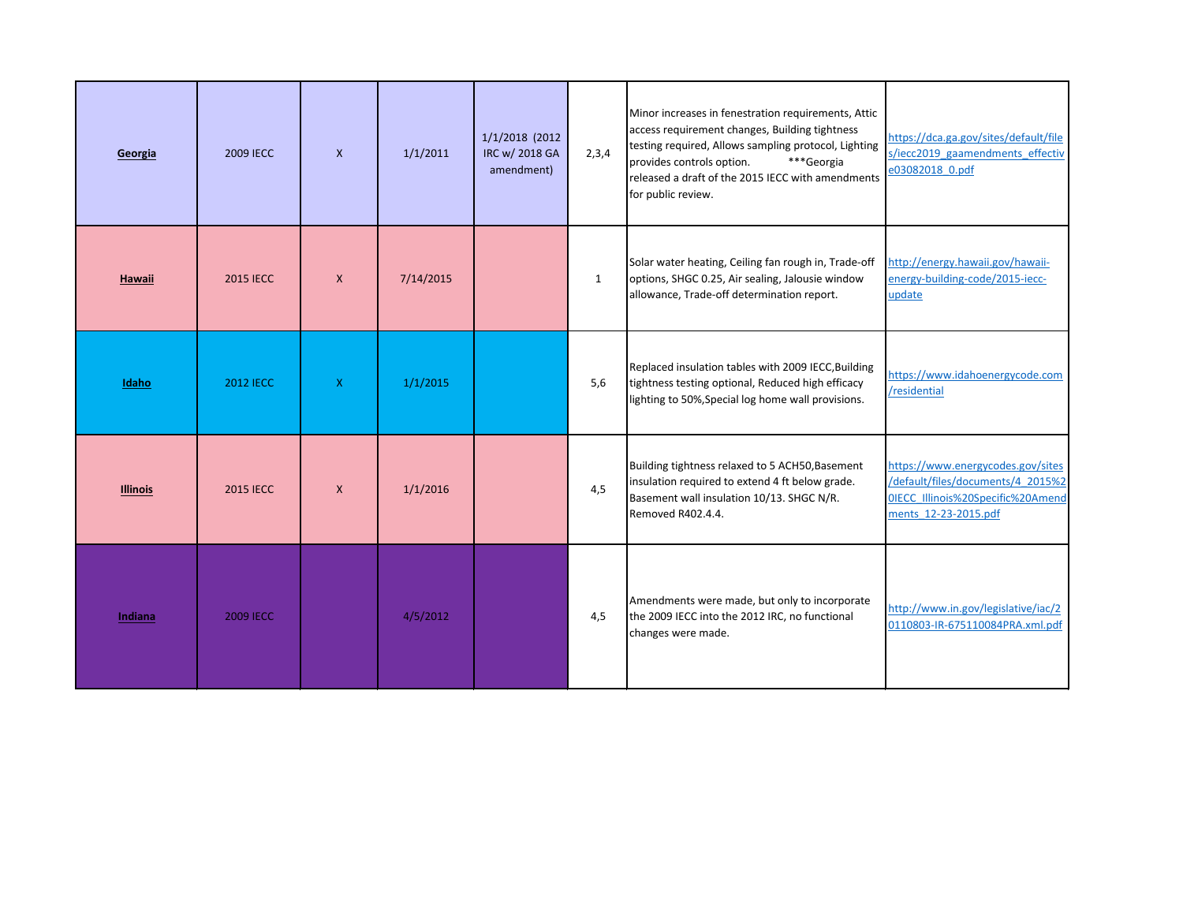| Georgia         | <b>2009 IECC</b> | $\mathsf{x}$ | 1/1/2011  | 1/1/2018 (2012<br>IRC w/ 2018 GA<br>amendment) | 2,3,4        | Minor increases in fenestration requirements, Attic<br>access requirement changes, Building tightness<br>testing required, Allows sampling protocol, Lighting<br>***Georgia<br>provides controls option.<br>released a draft of the 2015 IECC with amendments<br>for public review. | https://dca.ga.gov/sites/default/file<br>s/iecc2019 gaamendments effectiv<br>e03082018 0.pdf                                        |
|-----------------|------------------|--------------|-----------|------------------------------------------------|--------------|-------------------------------------------------------------------------------------------------------------------------------------------------------------------------------------------------------------------------------------------------------------------------------------|-------------------------------------------------------------------------------------------------------------------------------------|
| Hawaii          | <b>2015 IECC</b> | $\mathsf{x}$ | 7/14/2015 |                                                | $\mathbf{1}$ | Solar water heating, Ceiling fan rough in, Trade-off<br>options, SHGC 0.25, Air sealing, Jalousie window<br>allowance, Trade-off determination report.                                                                                                                              | http://energy.hawaii.gov/hawaii-<br>energy-building-code/2015-iecc-<br>update                                                       |
| Idaho           | <b>2012 IECC</b> | $\mathsf{X}$ | 1/1/2015  |                                                | 5,6          | Replaced insulation tables with 2009 IECC, Building<br>tightness testing optional, Reduced high efficacy<br>lighting to 50%, Special log home wall provisions.                                                                                                                      | https://www.idahoenergycode.com<br>/residential                                                                                     |
| <b>Illinois</b> | <b>2015 IECC</b> | $\mathsf{X}$ | 1/1/2016  |                                                | 4,5          | Building tightness relaxed to 5 ACH50, Basement<br>insulation required to extend 4 ft below grade.<br>Basement wall insulation 10/13. SHGC N/R.<br>Removed R402.4.4.                                                                                                                | https://www.energycodes.gov/sites<br>/default/files/documents/4 2015%2<br>OIECC Illinois%20Specific%20Amend<br>ments 12-23-2015.pdf |
| Indiana         | <b>2009 IECC</b> |              | 4/5/2012  |                                                | 4,5          | Amendments were made, but only to incorporate<br>the 2009 IECC into the 2012 IRC, no functional<br>changes were made.                                                                                                                                                               | http://www.in.gov/legislative/iac/2<br>0110803-IR-675110084PRA.xml.pdf                                                              |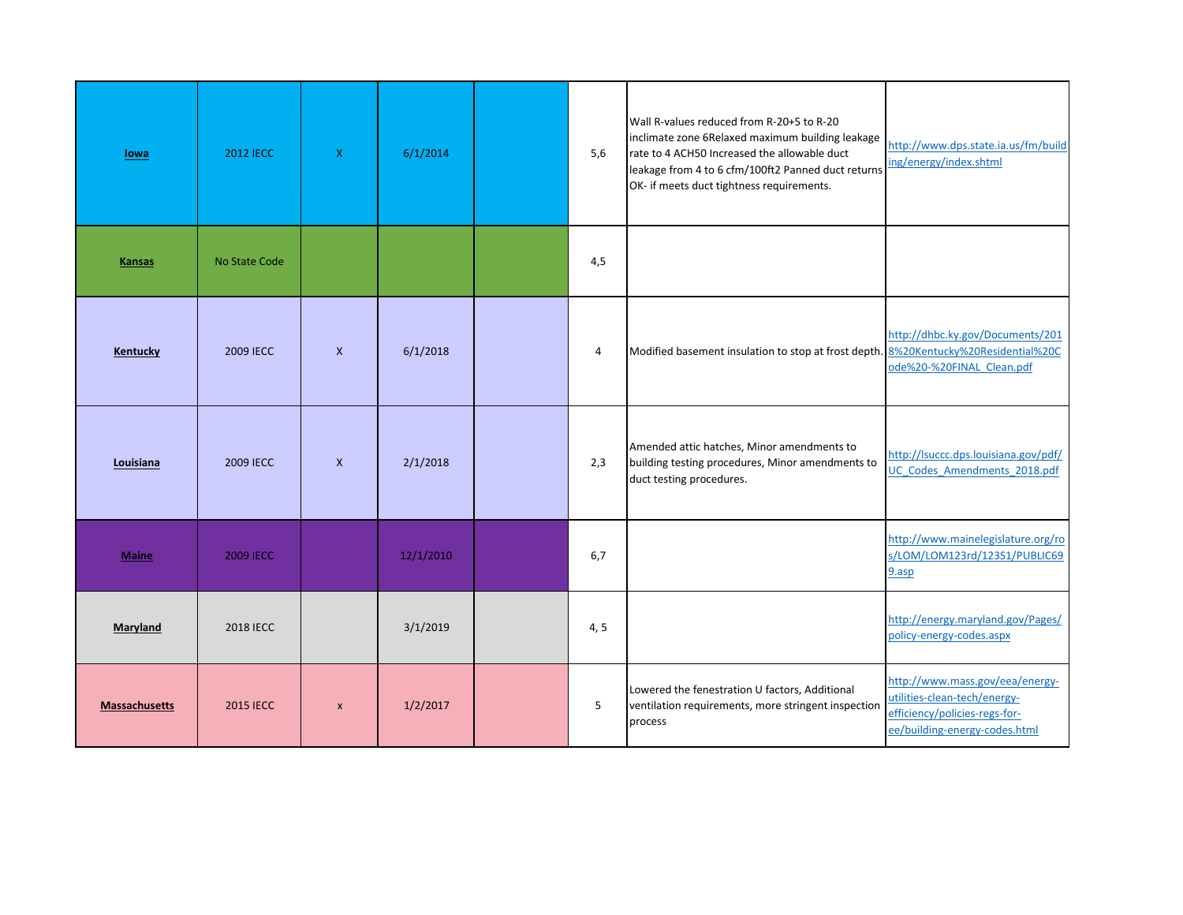| lowa                 | <b>2012 IECC</b> | X.               | 6/1/2014  | 5,6            | Wall R-values reduced from R-20+5 to R-20<br>inclimate zone 6Relaxed maximum building leakage<br>rate to 4 ACH50 Increased the allowable duct<br>leakage from 4 to 6 cfm/100ft2 Panned duct returns<br>OK- if meets duct tightness requirements. | http://www.dps.state.ia.us/fm/build<br>ing/energy/index.shtml                                                                     |
|----------------------|------------------|------------------|-----------|----------------|--------------------------------------------------------------------------------------------------------------------------------------------------------------------------------------------------------------------------------------------------|-----------------------------------------------------------------------------------------------------------------------------------|
| <b>Kansas</b>        | No State Code    |                  |           | 4,5            |                                                                                                                                                                                                                                                  |                                                                                                                                   |
| <b>Kentucky</b>      | 2009 IECC        | $\mathsf{x}$     | 6/1/2018  | $\overline{4}$ | Modified basement insulation to stop at frost depth. 8%20Kentucky%20Residential%20C                                                                                                                                                              | http://dhbc.ky.gov/Documents/201<br>ode%20-%20FINAL Clean.pdf                                                                     |
| Louisiana            | 2009 IECC        | $\mathsf{X}$     | 2/1/2018  | 2,3            | Amended attic hatches, Minor amendments to<br>building testing procedures, Minor amendments to<br>duct testing procedures.                                                                                                                       | http://lsuccc.dps.louisiana.gov/pdf/<br>UC Codes Amendments 2018.pdf                                                              |
| <b>Maine</b>         | 2009 IECC        |                  | 12/1/2010 | 6,7            |                                                                                                                                                                                                                                                  | http://www.mainelegislature.org/ro<br>s/LOM/LOM123rd/123S1/PUBLIC69<br>9.asp                                                      |
| Maryland             | <b>2018 IECC</b> |                  | 3/1/2019  | 4, 5           |                                                                                                                                                                                                                                                  | http://energy.maryland.gov/Pages/<br>policy-energy-codes.aspx                                                                     |
| <b>Massachusetts</b> | <b>2015 IECC</b> | $\boldsymbol{x}$ | 1/2/2017  | 5              | Lowered the fenestration U factors, Additional<br>ventilation requirements, more stringent inspection<br>process                                                                                                                                 | http://www.mass.gov/eea/energy-<br>utilities-clean-tech/energy-<br>efficiency/policies-regs-for-<br>ee/building-energy-codes.html |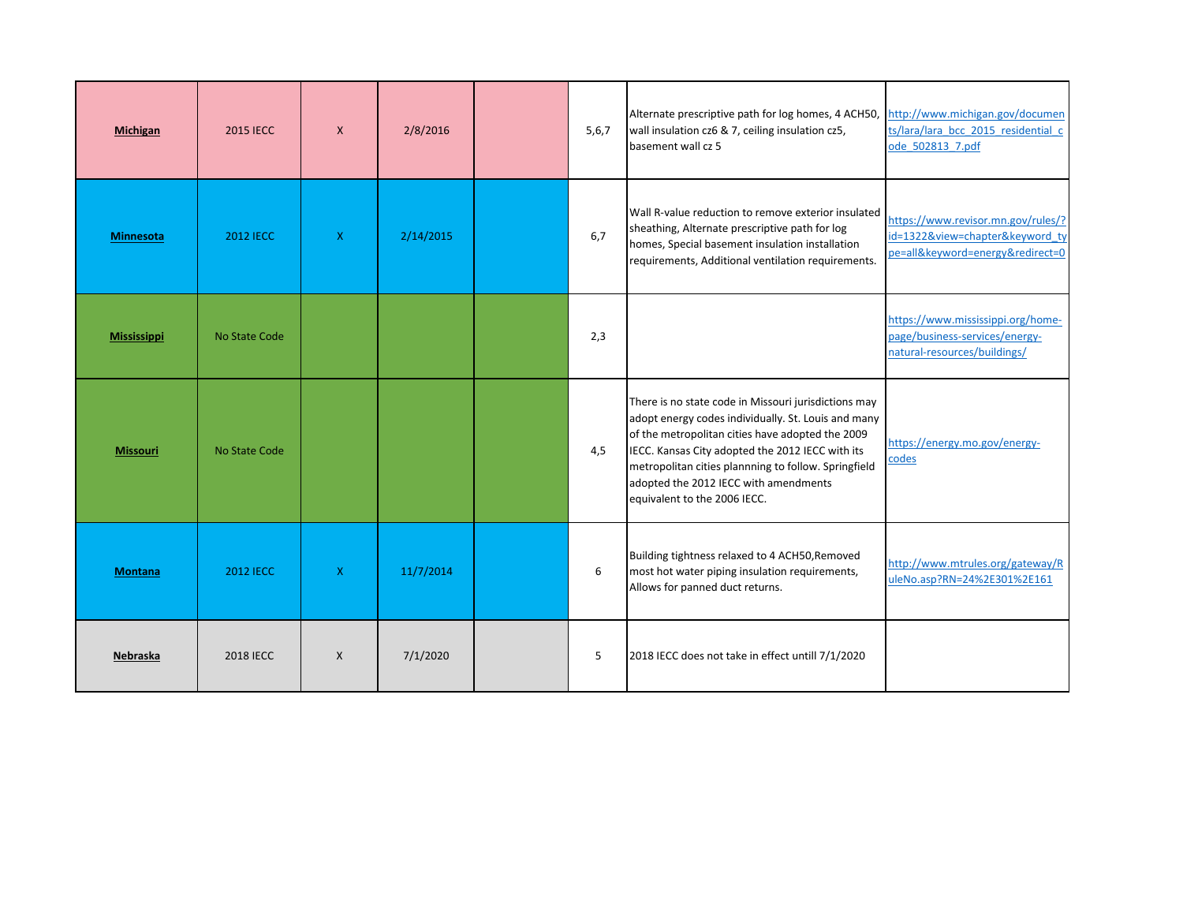| <b>Michigan</b>    | <b>2015 IECC</b> | $\mathsf{X}$ | 2/8/2016  | 5, 6, 7 | Alternate prescriptive path for log homes, 4 ACH50,<br>wall insulation cz6 & 7, ceiling insulation cz5,<br>basement wall cz 5                                                                                                                                                                                                                        | http://www.michigan.gov/documen<br>ts/lara/lara bcc 2015 residential c<br>ode_502813_7.pdf                |
|--------------------|------------------|--------------|-----------|---------|------------------------------------------------------------------------------------------------------------------------------------------------------------------------------------------------------------------------------------------------------------------------------------------------------------------------------------------------------|-----------------------------------------------------------------------------------------------------------|
| <b>Minnesota</b>   | <b>2012 IECC</b> | $\mathsf{X}$ | 2/14/2015 | 6,7     | Wall R-value reduction to remove exterior insulated<br>sheathing, Alternate prescriptive path for log<br>homes, Special basement insulation installation<br>requirements, Additional ventilation requirements.                                                                                                                                       | https://www.revisor.mn.gov/rules/?<br>id=1322&view=chapter&keyword_ty<br>pe=all&keyword=energy&redirect=0 |
| <b>Mississippi</b> | No State Code    |              |           | 2,3     |                                                                                                                                                                                                                                                                                                                                                      | https://www.mississippi.org/home-<br>page/business-services/energy-<br>natural-resources/buildings/       |
| <b>Missouri</b>    | No State Code    |              |           | 4,5     | There is no state code in Missouri jurisdictions may<br>adopt energy codes individually. St. Louis and many<br>of the metropolitan cities have adopted the 2009<br>IECC. Kansas City adopted the 2012 IECC with its<br>metropolitan cities plannning to follow. Springfield<br>adopted the 2012 IECC with amendments<br>equivalent to the 2006 IECC. | https://energy.mo.gov/energy-<br>codes                                                                    |
| <b>Montana</b>     | <b>2012 IECC</b> | $\mathsf{X}$ | 11/7/2014 | 6       | Building tightness relaxed to 4 ACH50, Removed<br>most hot water piping insulation requirements,<br>Allows for panned duct returns.                                                                                                                                                                                                                  | http://www.mtrules.org/gateway/R<br>uleNo.asp?RN=24%2E301%2E161                                           |
| Nebraska           | <b>2018 IECC</b> | $\mathsf{x}$ | 7/1/2020  | 5       | 2018 IECC does not take in effect untill 7/1/2020                                                                                                                                                                                                                                                                                                    |                                                                                                           |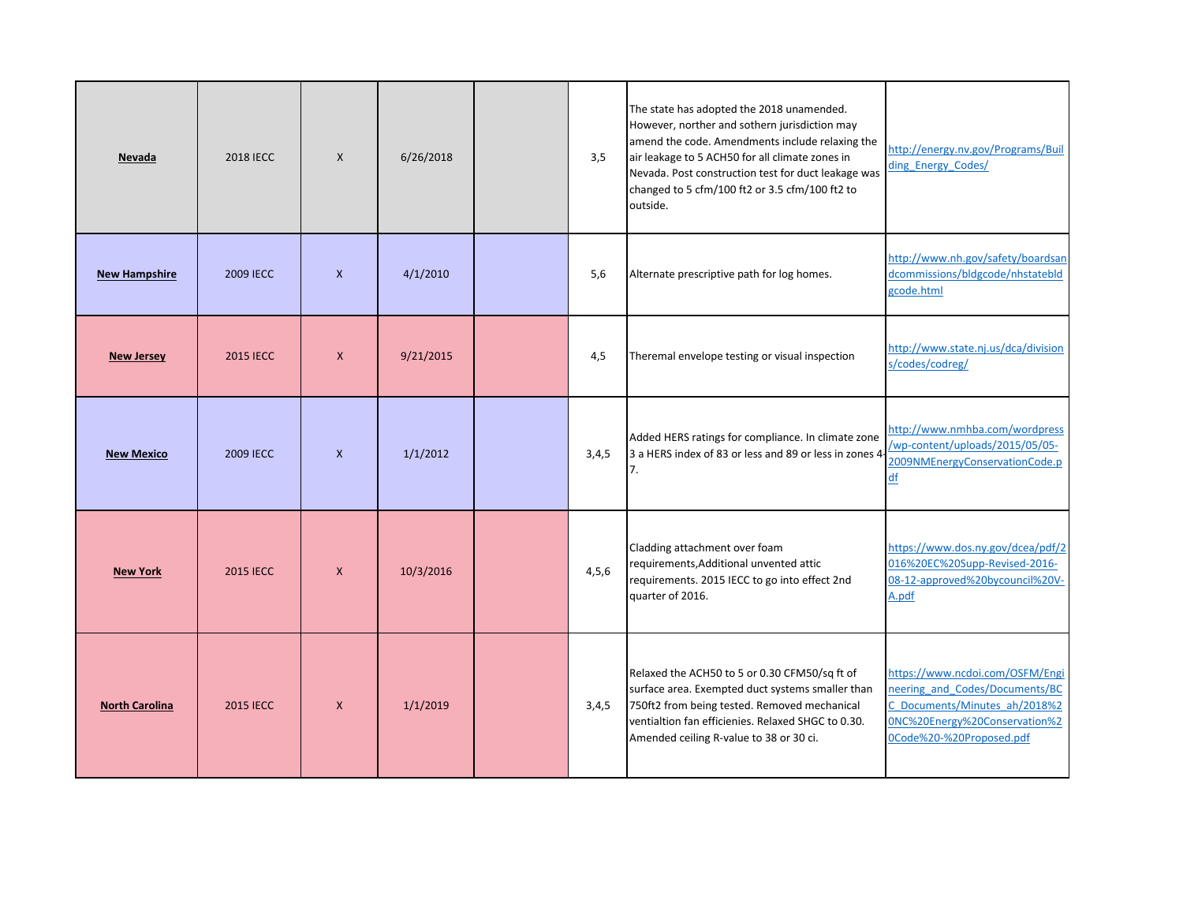| Nevada                | <b>2018 IECC</b> | $\mathsf{X}$ | 6/26/2018 | 3,5     | The state has adopted the 2018 unamended.<br>However, norther and sothern jurisdiction may<br>amend the code. Amendments include relaxing the<br>air leakage to 5 ACH50 for all climate zones in<br>Nevada. Post construction test for duct leakage was<br>changed to 5 cfm/100 ft2 or 3.5 cfm/100 ft2 to<br>outside. | http://energy.nv.gov/Programs/Buil<br>ding Energy Codes/                                                                                                        |
|-----------------------|------------------|--------------|-----------|---------|-----------------------------------------------------------------------------------------------------------------------------------------------------------------------------------------------------------------------------------------------------------------------------------------------------------------------|-----------------------------------------------------------------------------------------------------------------------------------------------------------------|
| <b>New Hampshire</b>  | 2009 IECC        | $\mathsf{X}$ | 4/1/2010  | 5,6     | Alternate prescriptive path for log homes.                                                                                                                                                                                                                                                                            | http://www.nh.gov/safety/boardsan<br>dcommissions/bldgcode/nhstatebld<br>gcode.html                                                                             |
| <b>New Jersey</b>     | <b>2015 IECC</b> | $\mathsf{x}$ | 9/21/2015 | 4,5     | Theremal envelope testing or visual inspection                                                                                                                                                                                                                                                                        | http://www.state.nj.us/dca/division<br>s/codes/codreg/                                                                                                          |
| <b>New Mexico</b>     | 2009 IECC        | $\mathsf{x}$ | 1/1/2012  | 3,4,5   | Added HERS ratings for compliance. In climate zone<br>3 a HERS index of 83 or less and 89 or less in zones 4-<br>7.                                                                                                                                                                                                   | http://www.nmhba.com/wordpress<br>/wp-content/uploads/2015/05/05-<br>2009NMEnergyConservationCode.p<br>$\underline{df}$                                         |
| <b>New York</b>       | <b>2015 IECC</b> | $\mathsf{x}$ | 10/3/2016 | 4, 5, 6 | Cladding attachment over foam<br>requirements, Additional unvented attic<br>requirements. 2015 IECC to go into effect 2nd<br>quarter of 2016.                                                                                                                                                                         | https://www.dos.ny.gov/dcea/pdf/2<br>016%20EC%20Supp-Revised-2016-<br>08-12-approved%20bycouncil%20V-<br>A.pdf                                                  |
| <b>North Carolina</b> | <b>2015 IECC</b> | $\mathsf{x}$ | 1/1/2019  | 3,4,5   | Relaxed the ACH50 to 5 or 0.30 CFM50/sq ft of<br>surface area. Exempted duct systems smaller than<br>750ft2 from being tested. Removed mechanical<br>ventialtion fan efficienies. Relaxed SHGC to 0.30.<br>Amended ceiling R-value to 38 or 30 ci.                                                                    | https://www.ncdoi.com/OSFM/Engi<br>neering and Codes/Documents/BC<br>C Documents/Minutes ah/2018%2<br>0NC%20Energy%20Conservation%2<br>0Code%20-%20Proposed.pdf |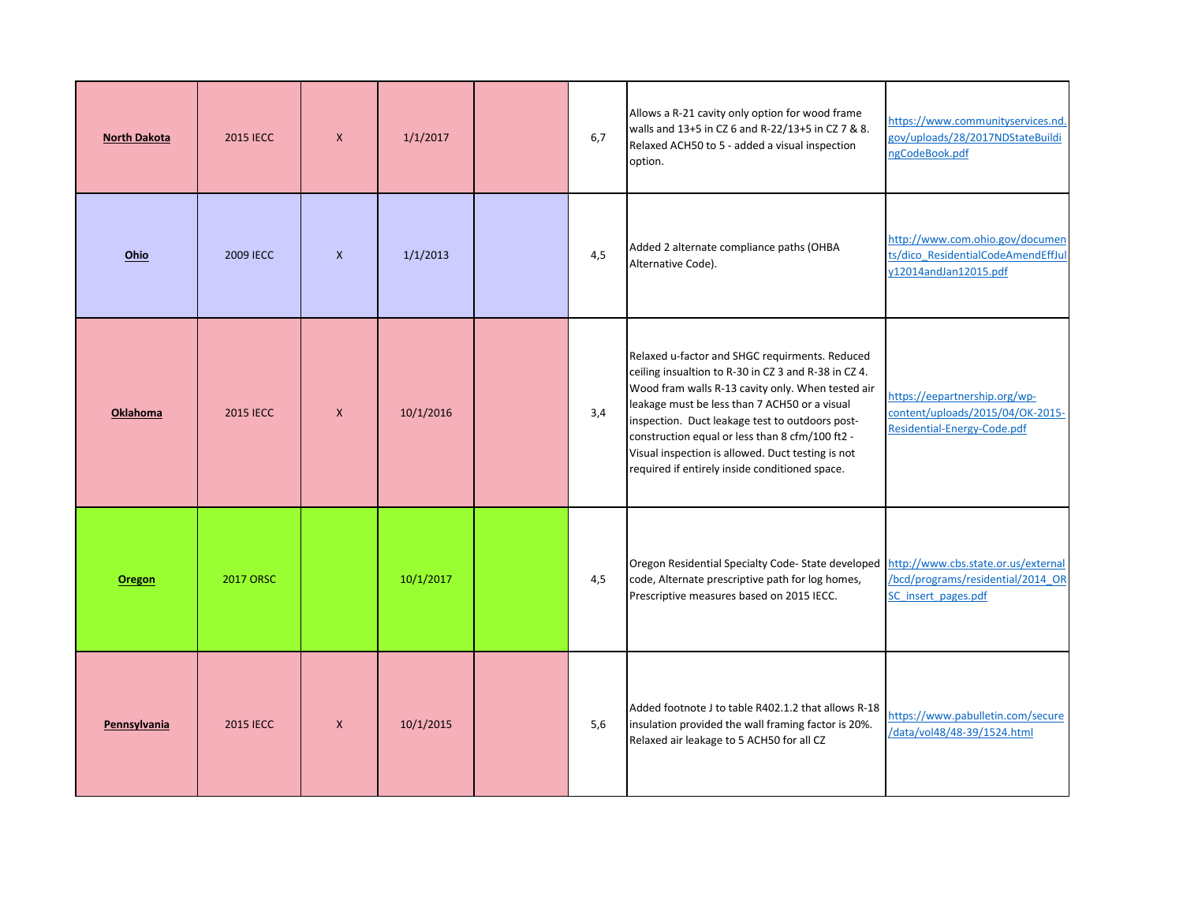| <b>North Dakota</b> | <b>2015 IECC</b> | $\mathsf{X}$ | 1/1/2017  | 6.7 | Allows a R-21 cavity only option for wood frame<br>walls and 13+5 in CZ 6 and R-22/13+5 in CZ 7 & 8.<br>Relaxed ACH50 to 5 - added a visual inspection<br>option.                                                                                                                                                                                                                                                         | https://www.communityservices.nd.<br>gov/uploads/28/2017NDStateBuildi<br>ngCodeBook.pdf          |
|---------------------|------------------|--------------|-----------|-----|---------------------------------------------------------------------------------------------------------------------------------------------------------------------------------------------------------------------------------------------------------------------------------------------------------------------------------------------------------------------------------------------------------------------------|--------------------------------------------------------------------------------------------------|
| Ohio                | <b>2009 IECC</b> | $\mathsf{x}$ | 1/1/2013  | 4,5 | Added 2 alternate compliance paths (OHBA<br>Alternative Code).                                                                                                                                                                                                                                                                                                                                                            | http://www.com.ohio.gov/documen<br>ts/dico ResidentialCodeAmendEffJul<br>y12014andJan12015.pdf   |
| <b>Oklahoma</b>     | <b>2015 IECC</b> | $\mathsf{x}$ | 10/1/2016 | 3,4 | Relaxed u-factor and SHGC requirments. Reduced<br>ceiling insualtion to R-30 in CZ 3 and R-38 in CZ 4.<br>Wood fram walls R-13 cavity only. When tested air<br>leakage must be less than 7 ACH50 or a visual<br>inspection. Duct leakage test to outdoors post-<br>construction equal or less than 8 cfm/100 ft2 -<br>Visual inspection is allowed. Duct testing is not<br>required if entirely inside conditioned space. | https://eepartnership.org/wp-<br>content/uploads/2015/04/OK-2015-<br>Residential-Energy-Code.pdf |
| Oregon              | <b>2017 ORSC</b> |              | 10/1/2017 | 4,5 | Oregon Residential Specialty Code-State developed http://www.cbs.state.or.us/external<br>code, Alternate prescriptive path for log homes,<br>Prescriptive measures based on 2015 IECC.                                                                                                                                                                                                                                    | /bcd/programs/residential/2014 OR<br>SC insert pages.pdf                                         |
| Pennsylvania        | <b>2015 IECC</b> | $\mathsf{x}$ | 10/1/2015 | 5,6 | Added footnote J to table R402.1.2 that allows R-18<br>insulation provided the wall framing factor is 20%.<br>Relaxed air leakage to 5 ACH50 for all CZ                                                                                                                                                                                                                                                                   | https://www.pabulletin.com/secure<br>/data/vol48/48-39/1524.html                                 |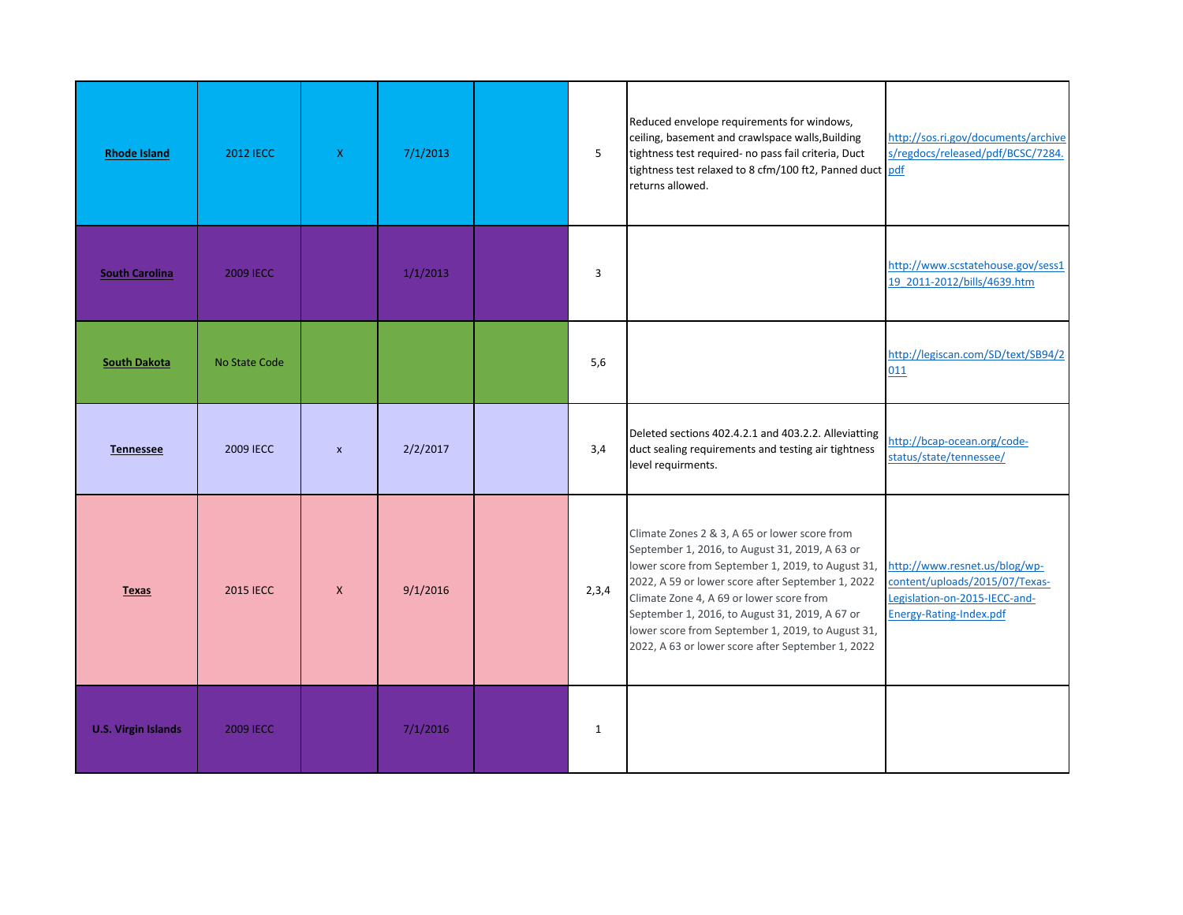| <b>Rhode Island</b>        | <b>2012 IECC</b> | $\mathsf{X}$              | 7/1/2013 | 5            | Reduced envelope requirements for windows,<br>ceiling, basement and crawlspace walls, Building<br>tightness test required- no pass fail criteria, Duct<br>tightness test relaxed to 8 cfm/100 ft2, Panned duct pdf<br>returns allowed.                                                                                                                                                                            | http://sos.ri.gov/documents/archive<br>s/regdocs/released/pdf/BCSC/7284.                                                    |
|----------------------------|------------------|---------------------------|----------|--------------|-------------------------------------------------------------------------------------------------------------------------------------------------------------------------------------------------------------------------------------------------------------------------------------------------------------------------------------------------------------------------------------------------------------------|-----------------------------------------------------------------------------------------------------------------------------|
| <b>South Carolina</b>      | <b>2009 IECC</b> |                           | 1/1/2013 | 3            |                                                                                                                                                                                                                                                                                                                                                                                                                   | http://www.scstatehouse.gov/sess1<br>19 2011-2012/bills/4639.htm                                                            |
| <b>South Dakota</b>        | No State Code    |                           |          | 5,6          |                                                                                                                                                                                                                                                                                                                                                                                                                   | http://legiscan.com/SD/text/SB94/2<br>011                                                                                   |
| <b>Tennessee</b>           | 2009 IECC        | $\boldsymbol{\mathsf{x}}$ | 2/2/2017 | 3,4          | Deleted sections 402.4.2.1 and 403.2.2. Alleviatting<br>duct sealing requirements and testing air tightness<br>level requirments.                                                                                                                                                                                                                                                                                 | http://bcap-ocean.org/code-<br>status/state/tennessee/                                                                      |
| <b>Texas</b>               | <b>2015 IECC</b> | $\mathsf{x}$              | 9/1/2016 | 2,3,4        | Climate Zones 2 & 3, A 65 or lower score from<br>September 1, 2016, to August 31, 2019, A 63 or<br>lower score from September 1, 2019, to August 31,<br>2022, A 59 or lower score after September 1, 2022<br>Climate Zone 4, A 69 or lower score from<br>September 1, 2016, to August 31, 2019, A 67 or<br>lower score from September 1, 2019, to August 31,<br>2022, A 63 or lower score after September 1, 2022 | http://www.resnet.us/blog/wp-<br>content/uploads/2015/07/Texas-<br>Legislation-on-2015-IECC-and-<br>Energy-Rating-Index.pdf |
| <b>U.S. Virgin Islands</b> | <b>2009 IECC</b> |                           | 7/1/2016 | $\mathbf{1}$ |                                                                                                                                                                                                                                                                                                                                                                                                                   |                                                                                                                             |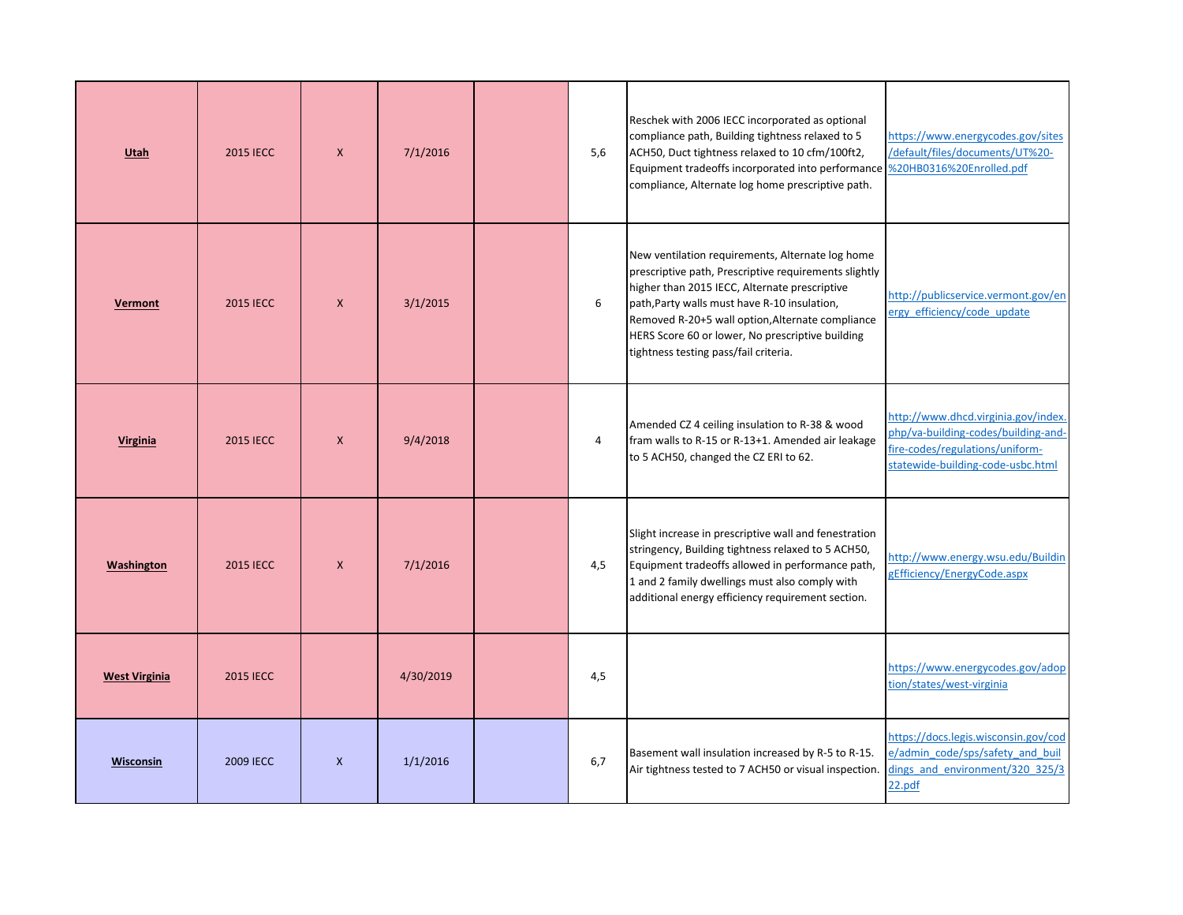| Utah                 | <b>2015 IECC</b> | $\mathsf{X}$ | 7/1/2016  | 5,6 | Reschek with 2006 IECC incorporated as optional<br>compliance path, Building tightness relaxed to 5<br>ACH50, Duct tightness relaxed to 10 cfm/100ft2,<br>Equipment tradeoffs incorporated into performance %20HB0316%20Enrolled.pdf<br>compliance, Alternate log home prescriptive path.                                                                   | https://www.energycodes.gov/sites<br>/default/files/documents/UT%20-                                                                               |
|----------------------|------------------|--------------|-----------|-----|-------------------------------------------------------------------------------------------------------------------------------------------------------------------------------------------------------------------------------------------------------------------------------------------------------------------------------------------------------------|----------------------------------------------------------------------------------------------------------------------------------------------------|
| Vermont              | <b>2015 IECC</b> | $\mathsf{X}$ | 3/1/2015  | 6   | New ventilation requirements, Alternate log home<br>prescriptive path, Prescriptive requirements slightly<br>higher than 2015 IECC, Alternate prescriptive<br>path, Party walls must have R-10 insulation,<br>Removed R-20+5 wall option, Alternate compliance<br>HERS Score 60 or lower, No prescriptive building<br>tightness testing pass/fail criteria. | http://publicservice.vermont.gov/en<br>ergy_efficiency/code_update                                                                                 |
| Virginia             | <b>2015 IECC</b> | $\mathsf{X}$ | 9/4/2018  | 4   | Amended CZ 4 ceiling insulation to R-38 & wood<br>fram walls to R-15 or R-13+1. Amended air leakage<br>to 5 ACH50, changed the CZ ERI to 62.                                                                                                                                                                                                                | http://www.dhcd.virginia.gov/index.<br>php/va-building-codes/building-and-<br>fire-codes/regulations/uniform-<br>statewide-building-code-usbc.html |
| Washington           | <b>2015 IECC</b> | $\mathsf{x}$ | 7/1/2016  | 4,5 | Slight increase in prescriptive wall and fenestration<br>stringency, Building tightness relaxed to 5 ACH50,<br>Equipment tradeoffs allowed in performance path,<br>1 and 2 family dwellings must also comply with<br>additional energy efficiency requirement section.                                                                                      | http://www.energy.wsu.edu/Buildin<br>gEfficiency/EnergyCode.aspx                                                                                   |
| <b>West Virginia</b> | <b>2015 IECC</b> |              | 4/30/2019 | 4,5 |                                                                                                                                                                                                                                                                                                                                                             | https://www.energycodes.gov/adop<br>tion/states/west-virginia                                                                                      |
| Wisconsin            | <b>2009 IECC</b> | $\mathsf{X}$ | 1/1/2016  | 6,7 | Basement wall insulation increased by R-5 to R-15.<br>Air tightness tested to 7 ACH50 or visual inspection.                                                                                                                                                                                                                                                 | https://docs.legis.wisconsin.gov/cod<br>e/admin code/sps/safety and buil<br>dings and environment/320 325/3<br>22.pdf                              |